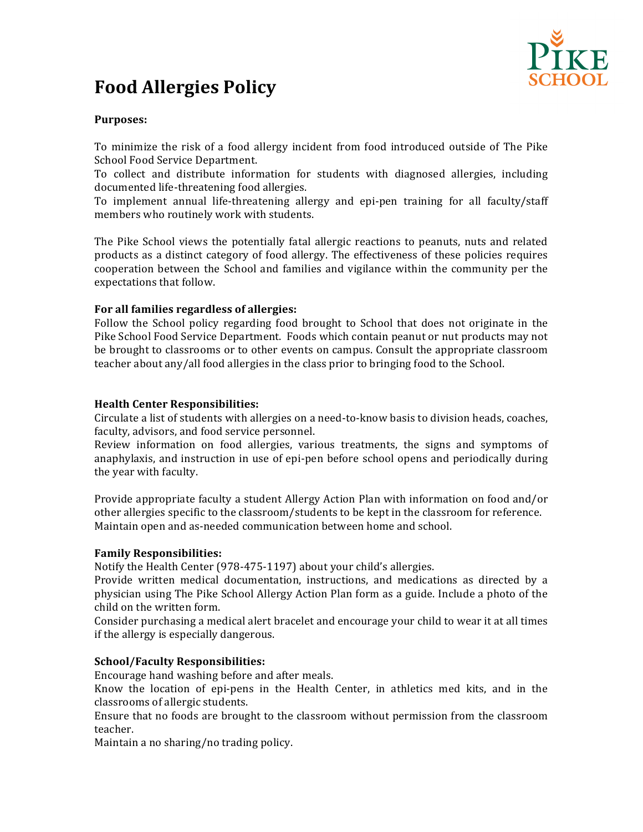

# **Food Allergies Policy**

## **Purposes:**

To minimize the risk of a food allergy incident from food introduced outside of The Pike School Food Service Department.

To collect and distribute information for students with diagnosed allergies, including documented life-threatening food allergies.

To implement annual life-threatening allergy and epi-pen training for all faculty/staff members who routinely work with students.

The Pike School views the potentially fatal allergic reactions to peanuts, nuts and related products as a distinct category of food allergy. The effectiveness of these policies requires cooperation between the School and families and vigilance within the community per the expectations that follow.

### For all families regardless of allergies:

Follow the School policy regarding food brought to School that does not originate in the Pike School Food Service Department. Foods which contain peanut or nut products may not be brought to classrooms or to other events on campus. Consult the appropriate classroom teacher about any/all food allergies in the class prior to bringing food to the School.

#### **Health Center Responsibilities:**

Circulate a list of students with allergies on a need-to-know basis to division heads, coaches, faculty, advisors, and food service personnel.

Review information on food allergies, various treatments, the signs and symptoms of anaphylaxis, and instruction in use of epi-pen before school opens and periodically during the year with faculty.

Provide appropriate faculty a student Allergy Action Plan with information on food and/or other allergies specific to the classroom/students to be kept in the classroom for reference. Maintain open and as-needed communication between home and school.

#### **Family Responsibilities:**

Notify the Health Center (978-475-1197) about your child's allergies.

Provide written medical documentation, instructions, and medications as directed by a physician using The Pike School Allergy Action Plan form as a guide. Include a photo of the child on the written form.

Consider purchasing a medical alert bracelet and encourage your child to wear it at all times if the allergy is especially dangerous.

#### **School/Faculty Responsibilities:**

Encourage hand washing before and after meals.

Know the location of epi-pens in the Health Center, in athletics med kits, and in the classrooms of allergic students.

Ensure that no foods are brought to the classroom without permission from the classroom teacher.

Maintain a no sharing/no trading policy.